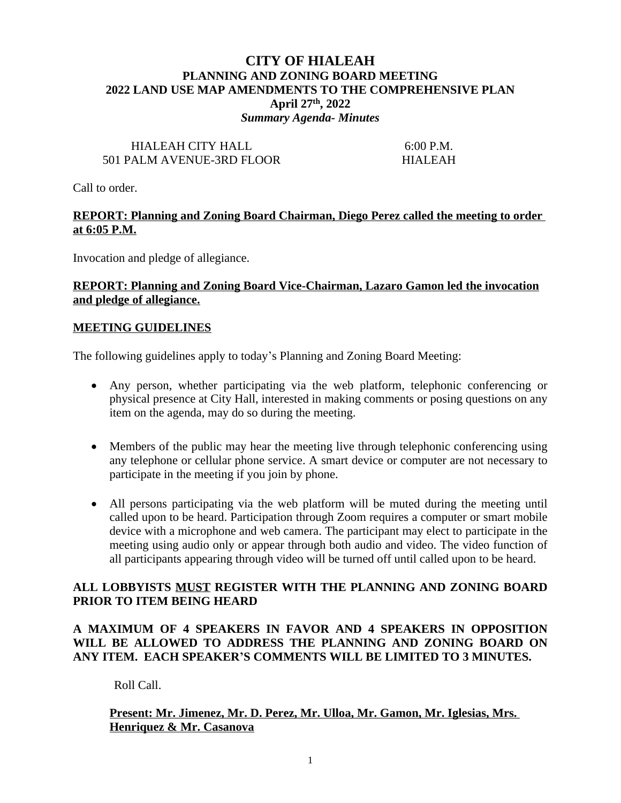## **CITY OF HIALEAH PLANNING AND ZONING BOARD MEETING 2022 LAND USE MAP AMENDMENTS TO THE COMPREHENSIVE PLAN April 27th, 2022** *Summary Agenda- Minutes*

# HIALEAH CITY HALL 6:00 P.M. 501 PALM AVENUE-3RD FLOOR HIALEAH

Call to order.

## **REPORT: Planning and Zoning Board Chairman, Diego Perez called the meeting to order at 6:05 P.M.**

Invocation and pledge of allegiance.

## **REPORT: Planning and Zoning Board Vice-Chairman, Lazaro Gamon led the invocation and pledge of allegiance.**

#### **MEETING GUIDELINES**

The following guidelines apply to today's Planning and Zoning Board Meeting:

- Any person, whether participating via the web platform, telephonic conferencing or physical presence at City Hall, interested in making comments or posing questions on any item on the agenda, may do so during the meeting.
- Members of the public may hear the meeting live through telephonic conferencing using any telephone or cellular phone service. A smart device or computer are not necessary to participate in the meeting if you join by phone.
- All persons participating via the web platform will be muted during the meeting until called upon to be heard. Participation through Zoom requires a computer or smart mobile device with a microphone and web camera. The participant may elect to participate in the meeting using audio only or appear through both audio and video. The video function of all participants appearing through video will be turned off until called upon to be heard.

### **ALL LOBBYISTS MUST REGISTER WITH THE PLANNING AND ZONING BOARD PRIOR TO ITEM BEING HEARD**

## **A MAXIMUM OF 4 SPEAKERS IN FAVOR AND 4 SPEAKERS IN OPPOSITION WILL BE ALLOWED TO ADDRESS THE PLANNING AND ZONING BOARD ON ANY ITEM. EACH SPEAKER'S COMMENTS WILL BE LIMITED TO 3 MINUTES.**

Roll Call.

## **Present: Mr. Jimenez, Mr. D. Perez, Mr. Ulloa, Mr. Gamon, Mr. Iglesias, Mrs. Henriquez & Mr. Casanova**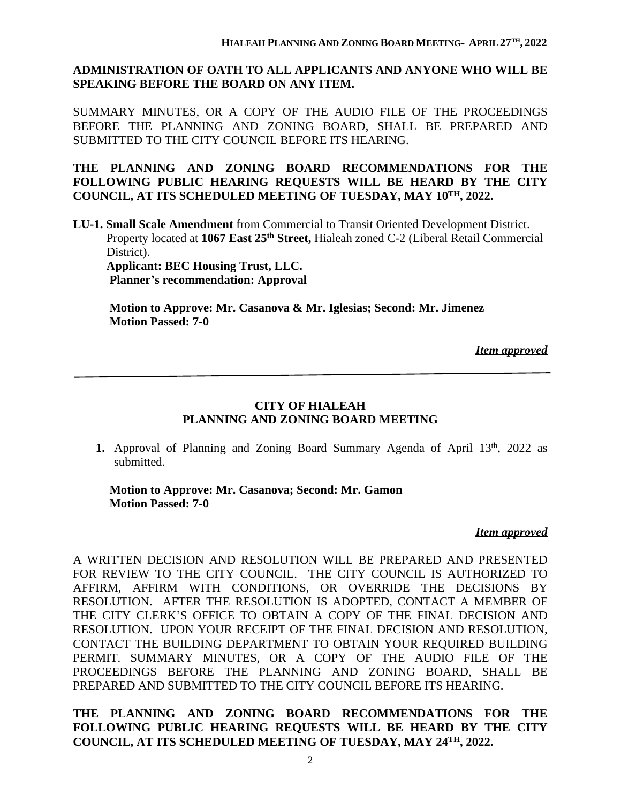# **ADMINISTRATION OF OATH TO ALL APPLICANTS AND ANYONE WHO WILL BE SPEAKING BEFORE THE BOARD ON ANY ITEM.**

SUMMARY MINUTES, OR A COPY OF THE AUDIO FILE OF THE PROCEEDINGS BEFORE THE PLANNING AND ZONING BOARD, SHALL BE PREPARED AND SUBMITTED TO THE CITY COUNCIL BEFORE ITS HEARING.

**THE PLANNING AND ZONING BOARD RECOMMENDATIONS FOR THE FOLLOWING PUBLIC HEARING REQUESTS WILL BE HEARD BY THE CITY COUNCIL, AT ITS SCHEDULED MEETING OF TUESDAY, MAY 10TH, 2022.**

**LU-1. Small Scale Amendment** from Commercial to Transit Oriented Development District. Property located at **1067 East 25th Street,** Hialeah zoned C-2 (Liberal Retail Commercial District). **Applicant: BEC Housing Trust, LLC.**

**Planner's recommendation: Approval**

**Motion to Approve: Mr. Casanova & Mr. Iglesias; Second: Mr. Jimenez Motion Passed: 7-0**

*Item approved*

# **CITY OF HIALEAH PLANNING AND ZONING BOARD MEETING**

1. Approval of Planning and Zoning Board Summary Agenda of April 13<sup>th</sup>, 2022 as submitted.

### **Motion to Approve: Mr. Casanova; Second: Mr. Gamon Motion Passed: 7-0**

#### *Item approved*

A WRITTEN DECISION AND RESOLUTION WILL BE PREPARED AND PRESENTED FOR REVIEW TO THE CITY COUNCIL. THE CITY COUNCIL IS AUTHORIZED TO AFFIRM, AFFIRM WITH CONDITIONS, OR OVERRIDE THE DECISIONS BY RESOLUTION. AFTER THE RESOLUTION IS ADOPTED, CONTACT A MEMBER OF THE CITY CLERK'S OFFICE TO OBTAIN A COPY OF THE FINAL DECISION AND RESOLUTION. UPON YOUR RECEIPT OF THE FINAL DECISION AND RESOLUTION, CONTACT THE BUILDING DEPARTMENT TO OBTAIN YOUR REQUIRED BUILDING PERMIT. SUMMARY MINUTES, OR A COPY OF THE AUDIO FILE OF THE PROCEEDINGS BEFORE THE PLANNING AND ZONING BOARD, SHALL BE PREPARED AND SUBMITTED TO THE CITY COUNCIL BEFORE ITS HEARING.

**THE PLANNING AND ZONING BOARD RECOMMENDATIONS FOR THE FOLLOWING PUBLIC HEARING REQUESTS WILL BE HEARD BY THE CITY COUNCIL, AT ITS SCHEDULED MEETING OF TUESDAY, MAY 24TH, 2022.**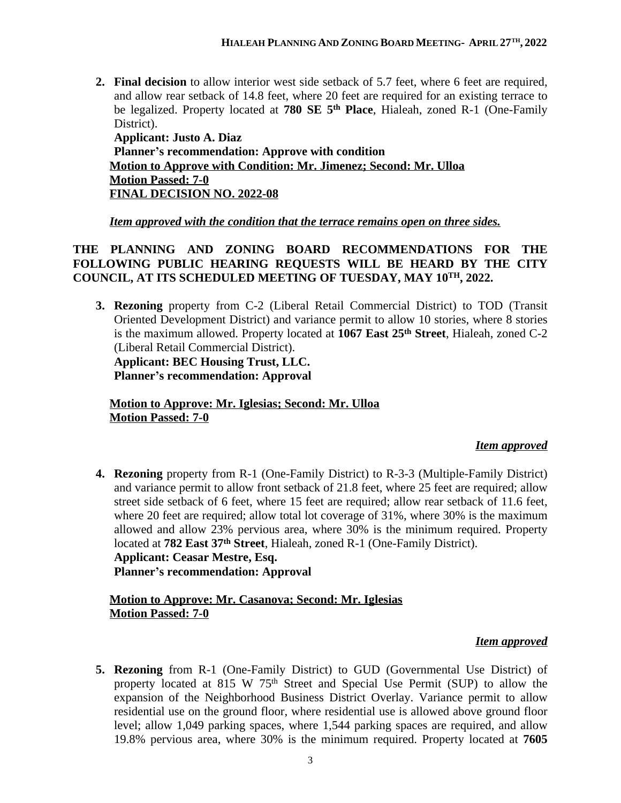**2. Final decision** to allow interior west side setback of 5.7 feet, where 6 feet are required, and allow rear setback of 14.8 feet, where 20 feet are required for an existing terrace to be legalized. Property located at **780 SE 5 th Place**, Hialeah, zoned R-1 (One-Family District). **Applicant: Justo A. Diaz**

**Planner's recommendation: Approve with condition Motion to Approve with Condition: Mr. Jimenez; Second: Mr. Ulloa Motion Passed: 7-0 FINAL DECISION NO. 2022-08**

# *Item approved with the condition that the terrace remains open on three sides.*

## **THE PLANNING AND ZONING BOARD RECOMMENDATIONS FOR THE FOLLOWING PUBLIC HEARING REQUESTS WILL BE HEARD BY THE CITY COUNCIL, AT ITS SCHEDULED MEETING OF TUESDAY, MAY 10TH, 2022.**

**3. Rezoning** property from C-2 (Liberal Retail Commercial District) to TOD (Transit Oriented Development District) and variance permit to allow 10 stories, where 8 stories is the maximum allowed. Property located at **1067 East 25th Street**, Hialeah, zoned C-2 (Liberal Retail Commercial District).

**Applicant: BEC Housing Trust, LLC. Planner's recommendation: Approval**

**Motion to Approve: Mr. Iglesias; Second: Mr. Ulloa Motion Passed: 7-0**

# *Item approved*

**4. Rezoning** property from R-1 (One-Family District) to R-3-3 (Multiple-Family District) and variance permit to allow front setback of 21.8 feet, where 25 feet are required; allow street side setback of 6 feet, where 15 feet are required; allow rear setback of 11.6 feet, where 20 feet are required; allow total lot coverage of 31%, where 30% is the maximum allowed and allow 23% pervious area, where 30% is the minimum required. Property located at **782 East 37th Street**, Hialeah, zoned R-1 (One-Family District). **Applicant: Ceasar Mestre, Esq. Planner's recommendation: Approval**

## **Motion to Approve: Mr. Casanova; Second: Mr. Iglesias Motion Passed: 7-0**

# *Item approved*

**5. Rezoning** from R-1 (One-Family District) to GUD (Governmental Use District) of property located at 815 W 75<sup>th</sup> Street and Special Use Permit (SUP) to allow the expansion of the Neighborhood Business District Overlay. Variance permit to allow residential use on the ground floor, where residential use is allowed above ground floor level; allow 1,049 parking spaces, where 1,544 parking spaces are required, and allow 19.8% pervious area, where 30% is the minimum required. Property located at **7605**